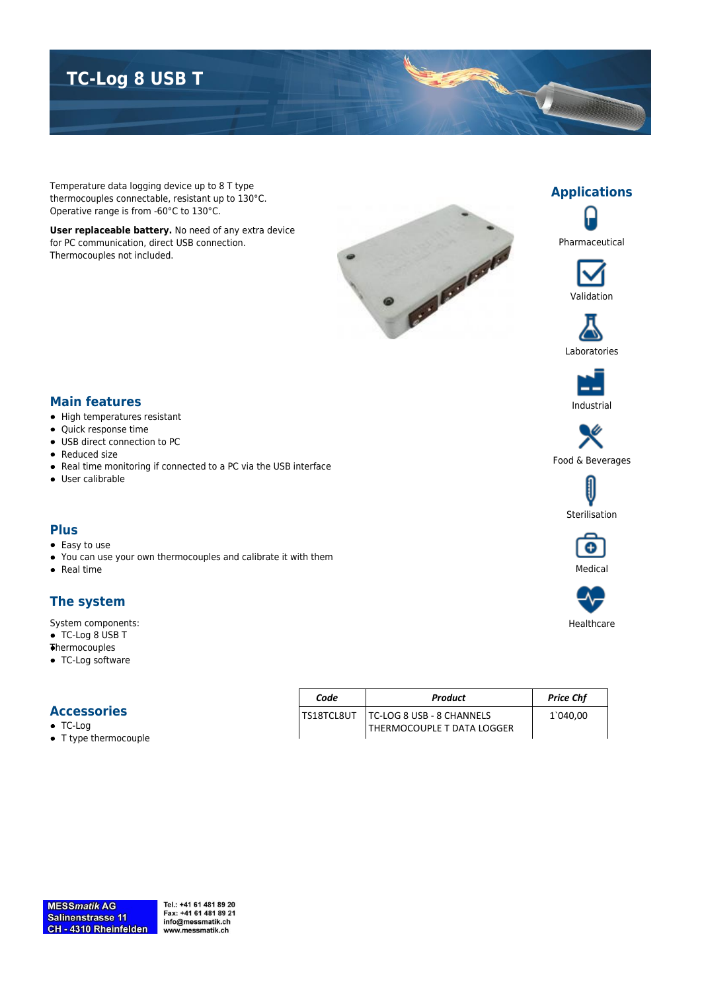# **TC-Log 8 USB T**

Temperature data logging device up to 8 T type thermocouples connectable, resistant up to 130°C. Operative range is from -60°C to 130°C.

**User replaceable battery.** No need of any extra device for PC communication, direct USB connection. Thermocouples not included.





**Applications**





## **Main features**

- High temperatures resistant
- Quick response time
- USB direct connection to PC
- Reduced size
- Real time monitoring if connected to a PC via the USB interface
- User calibrable

#### **Plus**

- Easy to use
- You can use your own thermocouples and calibrate it with them
- $\bullet$  Real time

#### **The system**

System components:

- TC-Log 8 USB T
- Thermocouples
- TC-Log software

#### **Accessories**

- TC-Log
- T type thermocouple

| Code         | Product                          | <b>Price Chf</b> |
|--------------|----------------------------------|------------------|
| I TS18TCL8UT | <b>TC-LOG 8 USB - 8 CHANNELS</b> | 1`040.00         |
|              | THERMOCOUPLE T DATA LOGGER       |                  |

Tel.: +41 61 481 89 20 Fax: +41 61 481 89 21 info@messmatik.ch www.messmatik.ch